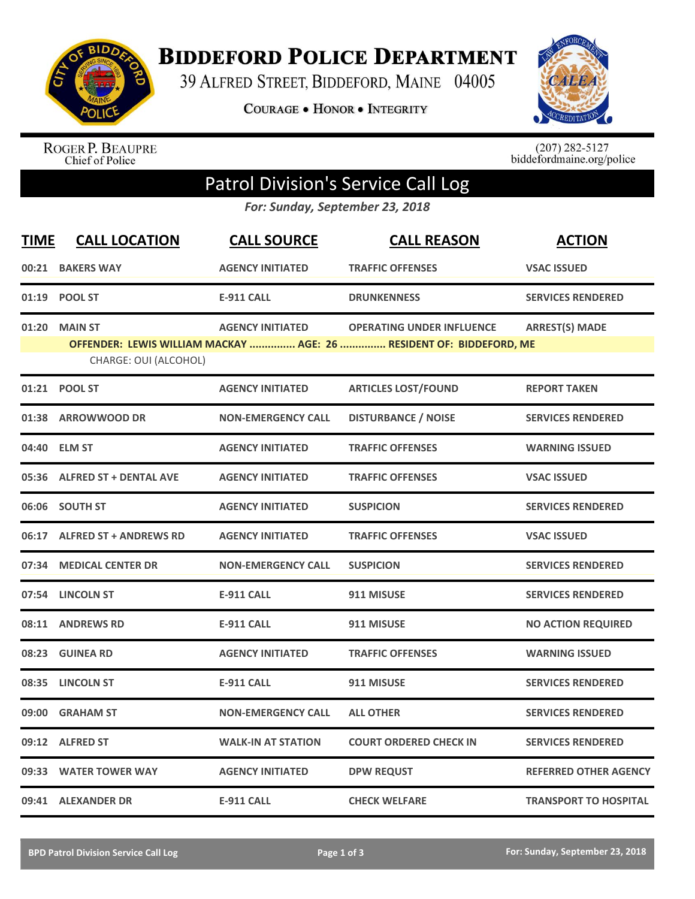

**BIDDEFORD POLICE DEPARTMENT** 

39 ALFRED STREET, BIDDEFORD, MAINE 04005

**COURAGE . HONOR . INTEGRITY** 



ROGER P. BEAUPRE<br>Chief of Police

 $(207)$  282-5127<br>biddefordmaine.org/police

## Patrol Division's Service Call Log

*For: Sunday, September 23, 2018*

| <b>TIME</b> | <b>CALL LOCATION</b>          | <b>CALL SOURCE</b>        | <b>CALL REASON</b>                                                  | <b>ACTION</b>                |
|-------------|-------------------------------|---------------------------|---------------------------------------------------------------------|------------------------------|
| 00:21       | <b>BAKERS WAY</b>             | <b>AGENCY INITIATED</b>   | <b>TRAFFIC OFFENSES</b>                                             | <b>VSAC ISSUED</b>           |
| 01:19       | <b>POOL ST</b>                | <b>E-911 CALL</b>         | <b>DRUNKENNESS</b>                                                  | <b>SERVICES RENDERED</b>     |
| 01:20       | <b>MAIN ST</b>                | <b>AGENCY INITIATED</b>   | <b>OPERATING UNDER INFLUENCE</b>                                    | <b>ARREST(S) MADE</b>        |
|             | CHARGE: OUI (ALCOHOL)         |                           | OFFENDER: LEWIS WILLIAM MACKAY  AGE: 26  RESIDENT OF: BIDDEFORD, ME |                              |
| 01:21       | <b>POOL ST</b>                | <b>AGENCY INITIATED</b>   | <b>ARTICLES LOST/FOUND</b>                                          | <b>REPORT TAKEN</b>          |
| 01:38       | <b>ARROWWOOD DR</b>           | <b>NON-EMERGENCY CALL</b> | <b>DISTURBANCE / NOISE</b>                                          | <b>SERVICES RENDERED</b>     |
|             | 04:40 ELM ST                  | <b>AGENCY INITIATED</b>   | <b>TRAFFIC OFFENSES</b>                                             | <b>WARNING ISSUED</b>        |
| 05:36       | <b>ALFRED ST + DENTAL AVE</b> | <b>AGENCY INITIATED</b>   | <b>TRAFFIC OFFENSES</b>                                             | <b>VSAC ISSUED</b>           |
|             | 06:06 SOUTH ST                | <b>AGENCY INITIATED</b>   | <b>SUSPICION</b>                                                    | <b>SERVICES RENDERED</b>     |
| 06:17       | <b>ALFRED ST + ANDREWS RD</b> | <b>AGENCY INITIATED</b>   | <b>TRAFFIC OFFENSES</b>                                             | <b>VSAC ISSUED</b>           |
| 07:34       | <b>MEDICAL CENTER DR</b>      | <b>NON-EMERGENCY CALL</b> | <b>SUSPICION</b>                                                    | <b>SERVICES RENDERED</b>     |
|             | 07:54 LINCOLN ST              | <b>E-911 CALL</b>         | 911 MISUSE                                                          | <b>SERVICES RENDERED</b>     |
| 08:11       | <b>ANDREWS RD</b>             | <b>E-911 CALL</b>         | 911 MISUSE                                                          | <b>NO ACTION REQUIRED</b>    |
| 08:23       | <b>GUINEA RD</b>              | <b>AGENCY INITIATED</b>   | <b>TRAFFIC OFFENSES</b>                                             | <b>WARNING ISSUED</b>        |
| 08:35       | <b>LINCOLN ST</b>             | <b>E-911 CALL</b>         | 911 MISUSE                                                          | <b>SERVICES RENDERED</b>     |
| 09:00       | <b>GRAHAM ST</b>              | <b>NON-EMERGENCY CALL</b> | <b>ALL OTHER</b>                                                    | <b>SERVICES RENDERED</b>     |
|             | 09:12 ALFRED ST               | <b>WALK-IN AT STATION</b> | <b>COURT ORDERED CHECK IN</b>                                       | <b>SERVICES RENDERED</b>     |
| 09:33       | <b>WATER TOWER WAY</b>        | <b>AGENCY INITIATED</b>   | <b>DPW REQUST</b>                                                   | <b>REFERRED OTHER AGENCY</b> |
|             | 09:41 ALEXANDER DR            | <b>E-911 CALL</b>         | <b>CHECK WELFARE</b>                                                | <b>TRANSPORT TO HOSPITAL</b> |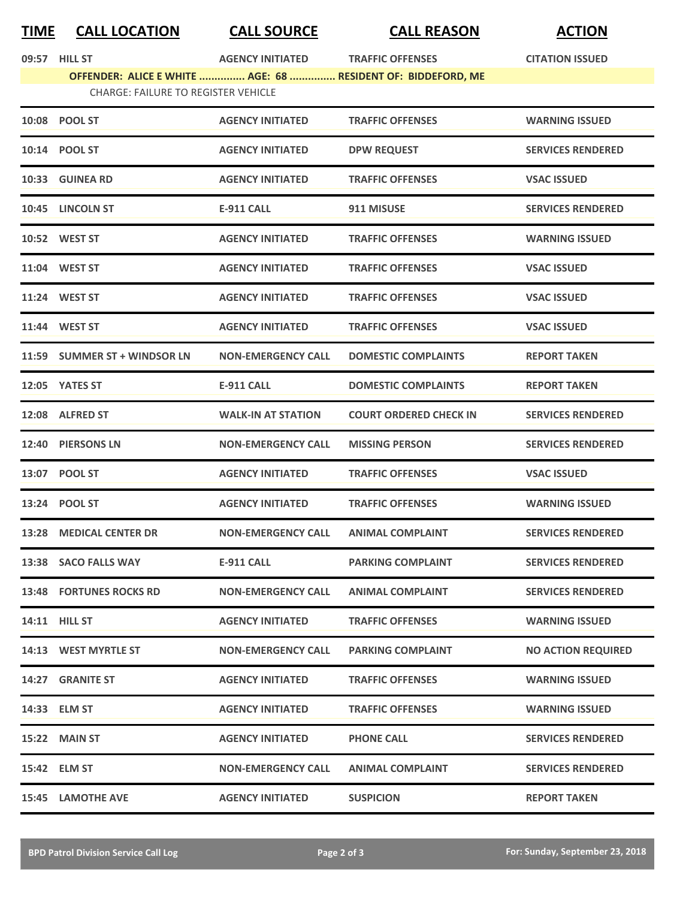|--|

**TIME CALL LOCATION CALL SOURCE CALL REASON ACTION**

|                                                                                                            | 09:57 HILL ST                  | <b>AGENCY INITIATED</b>   | <b>TRAFFIC OFFENSES</b>       | <b>CITATION ISSUED</b>    |  |  |  |
|------------------------------------------------------------------------------------------------------------|--------------------------------|---------------------------|-------------------------------|---------------------------|--|--|--|
| OFFENDER: ALICE E WHITE  AGE: 68  RESIDENT OF: BIDDEFORD, ME<br><b>CHARGE: FAILURE TO REGISTER VEHICLE</b> |                                |                           |                               |                           |  |  |  |
|                                                                                                            | 10:08 POOL ST                  | <b>AGENCY INITIATED</b>   | <b>TRAFFIC OFFENSES</b>       | <b>WARNING ISSUED</b>     |  |  |  |
|                                                                                                            | 10:14 POOL ST                  | <b>AGENCY INITIATED</b>   | <b>DPW REQUEST</b>            | <b>SERVICES RENDERED</b>  |  |  |  |
|                                                                                                            | 10:33 GUINEA RD                | <b>AGENCY INITIATED</b>   | <b>TRAFFIC OFFENSES</b>       | <b>VSAC ISSUED</b>        |  |  |  |
|                                                                                                            |                                |                           |                               |                           |  |  |  |
|                                                                                                            | 10:45 LINCOLN ST               | <b>E-911 CALL</b>         | 911 MISUSE                    | <b>SERVICES RENDERED</b>  |  |  |  |
|                                                                                                            | <b>10:52 WEST ST</b>           | <b>AGENCY INITIATED</b>   | <b>TRAFFIC OFFENSES</b>       | <b>WARNING ISSUED</b>     |  |  |  |
|                                                                                                            | 11:04 WEST ST                  | <b>AGENCY INITIATED</b>   | <b>TRAFFIC OFFENSES</b>       | <b>VSAC ISSUED</b>        |  |  |  |
|                                                                                                            | 11:24 WEST ST                  | <b>AGENCY INITIATED</b>   | <b>TRAFFIC OFFENSES</b>       | <b>VSAC ISSUED</b>        |  |  |  |
|                                                                                                            | 11:44 WEST ST                  | <b>AGENCY INITIATED</b>   | <b>TRAFFIC OFFENSES</b>       | <b>VSAC ISSUED</b>        |  |  |  |
|                                                                                                            | 11:59 SUMMER ST + WINDSOR LN   | <b>NON-EMERGENCY CALL</b> | <b>DOMESTIC COMPLAINTS</b>    | <b>REPORT TAKEN</b>       |  |  |  |
|                                                                                                            | 12:05 YATES ST                 | <b>E-911 CALL</b>         | <b>DOMESTIC COMPLAINTS</b>    | <b>REPORT TAKEN</b>       |  |  |  |
|                                                                                                            | 12:08 ALFRED ST                | <b>WALK-IN AT STATION</b> | <b>COURT ORDERED CHECK IN</b> | <b>SERVICES RENDERED</b>  |  |  |  |
|                                                                                                            | 12:40 PIERSONS LN              | <b>NON-EMERGENCY CALL</b> | <b>MISSING PERSON</b>         | <b>SERVICES RENDERED</b>  |  |  |  |
|                                                                                                            | 13:07 POOL ST                  | <b>AGENCY INITIATED</b>   | <b>TRAFFIC OFFENSES</b>       | <b>VSAC ISSUED</b>        |  |  |  |
|                                                                                                            | 13:24 POOL ST                  | <b>AGENCY INITIATED</b>   | <b>TRAFFIC OFFENSES</b>       | <b>WARNING ISSUED</b>     |  |  |  |
| 13:28                                                                                                      | <b>MEDICAL CENTER DR</b>       | <b>NON-EMERGENCY CALL</b> | <b>ANIMAL COMPLAINT</b>       | <b>SERVICES RENDERED</b>  |  |  |  |
|                                                                                                            | 13:38 SACO FALLS WAY           | <b>E-911 CALL</b>         | <b>PARKING COMPLAINT</b>      | <b>SERVICES RENDERED</b>  |  |  |  |
|                                                                                                            | <b>13:48 FORTUNES ROCKS RD</b> | <b>NON-EMERGENCY CALL</b> | <b>ANIMAL COMPLAINT</b>       | <b>SERVICES RENDERED</b>  |  |  |  |
|                                                                                                            | <b>14:11 HILL ST</b>           | <b>AGENCY INITIATED</b>   | <b>TRAFFIC OFFENSES</b>       | <b>WARNING ISSUED</b>     |  |  |  |
|                                                                                                            | 14:13 WEST MYRTLE ST           | <b>NON-EMERGENCY CALL</b> | <b>PARKING COMPLAINT</b>      | <b>NO ACTION REQUIRED</b> |  |  |  |
|                                                                                                            | 14:27 GRANITE ST               | <b>AGENCY INITIATED</b>   | <b>TRAFFIC OFFENSES</b>       | <b>WARNING ISSUED</b>     |  |  |  |
|                                                                                                            | 14:33 ELM ST                   | <b>AGENCY INITIATED</b>   | <b>TRAFFIC OFFENSES</b>       | <b>WARNING ISSUED</b>     |  |  |  |
|                                                                                                            | 15:22 MAIN ST                  | <b>AGENCY INITIATED</b>   | <b>PHONE CALL</b>             | <b>SERVICES RENDERED</b>  |  |  |  |
|                                                                                                            | 15:42 ELM ST                   | <b>NON-EMERGENCY CALL</b> | <b>ANIMAL COMPLAINT</b>       | <b>SERVICES RENDERED</b>  |  |  |  |
|                                                                                                            | 15:45 LAMOTHE AVE              | <b>AGENCY INITIATED</b>   | <b>SUSPICION</b>              | <b>REPORT TAKEN</b>       |  |  |  |